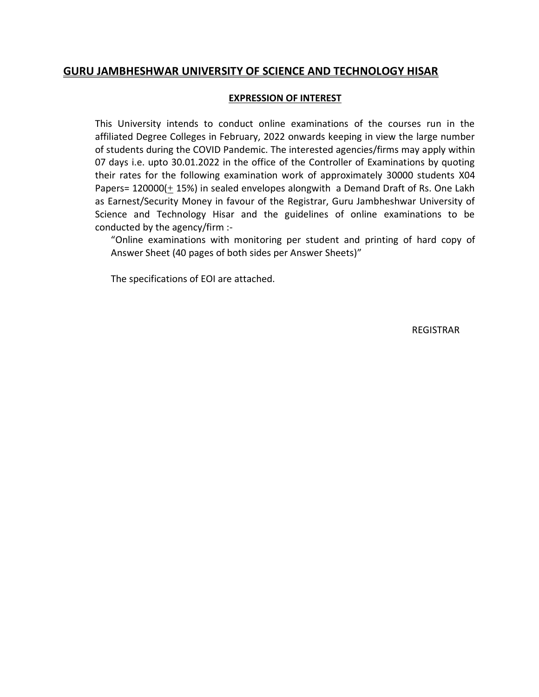# **GURU JAMBHESHWAR UNIVERSITY OF SCIENCE AND TECHNOLOGY HISAR**

#### **EXPRESSION OF INTEREST**

This University intends to conduct online examinations of the courses run in the affiliated Degree Colleges in February, 2022 onwards keeping in view the large number of students during the COVID Pandemic. The interested agencies/firms may apply within 07 days i.e. upto 30.01.2022 in the office of the Controller of Examinations by quoting their rates for the following examination work of approximately 30000 students X04 Papers=  $120000(\pm 15%)$  in sealed envelopes alongwith a Demand Draft of Rs. One Lakh as Earnest/Security Money in favour of the Registrar, Guru Jambheshwar University of Science and Technology Hisar and the guidelines of online examinations to be conducted by the agency/firm :-

"Online examinations with monitoring per student and printing of hard copy of Answer Sheet (40 pages of both sides per Answer Sheets)"

The specifications of EOI are attached.

REGISTRAR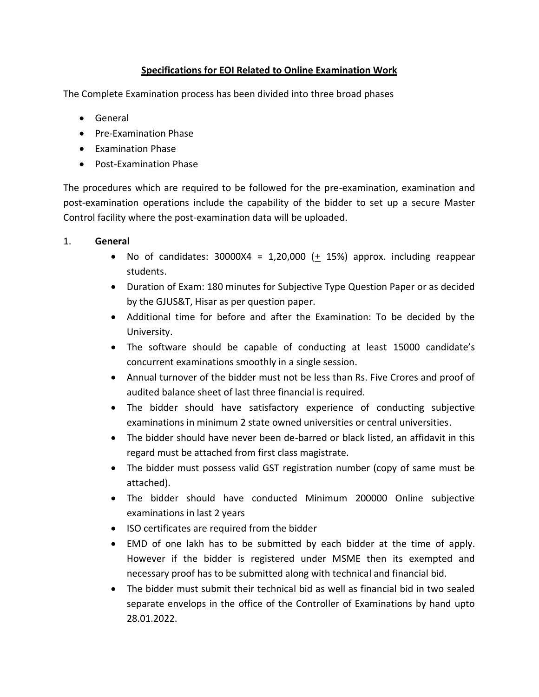# **Specifications for EOI Related to Online Examination Work**

The Complete Examination process has been divided into three broad phases

- General
- **•** Pre-Examination Phase
- Examination Phase
- Post-Examination Phase

The procedures which are required to be followed for the pre-examination, examination and post-examination operations include the capability of the bidder to set up a secure Master Control facility where the post-examination data will be uploaded.

#### 1. **General**

- No of candidates: 30000X4 = 1,20,000  $(+ 15%)$  approx. including reappear students.
- Duration of Exam: 180 minutes for Subjective Type Question Paper or as decided by the GJUS&T, Hisar as per question paper.
- Additional time for before and after the Examination: To be decided by the University.
- The software should be capable of conducting at least 15000 candidate's concurrent examinations smoothly in a single session.
- Annual turnover of the bidder must not be less than Rs. Five Crores and proof of audited balance sheet of last three financial is required.
- The bidder should have satisfactory experience of conducting subjective examinations in minimum 2 state owned universities or central universities.
- The bidder should have never been de-barred or black listed, an affidavit in this regard must be attached from first class magistrate.
- The bidder must possess valid GST registration number (copy of same must be attached).
- The bidder should have conducted Minimum 200000 Online subjective examinations in last 2 years
- ISO certificates are required from the bidder
- EMD of one lakh has to be submitted by each bidder at the time of apply. However if the bidder is registered under MSME then its exempted and necessary proof has to be submitted along with technical and financial bid.
- The bidder must submit their technical bid as well as financial bid in two sealed separate envelops in the office of the Controller of Examinations by hand upto 28.01.2022.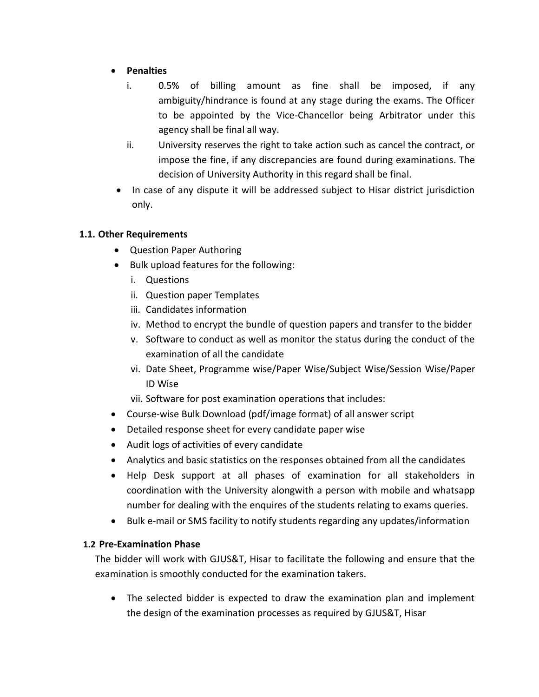- **Penalties**
	- i. 0.5% of billing amount as fine shall be imposed, if any ambiguity/hindrance is found at any stage during the exams. The Officer to be appointed by the Vice-Chancellor being Arbitrator under this agency shall be final all way.
	- ii. University reserves the right to take action such as cancel the contract, or impose the fine, if any discrepancies are found during examinations. The decision of University Authority in this regard shall be final.
- In case of any dispute it will be addressed subject to Hisar district jurisdiction only.

### **1.1. Other Requirements**

- Question Paper Authoring
- Bulk upload features for the following:
	- i. Questions
	- ii. Question paper Templates
	- iii. Candidates information
	- iv. Method to encrypt the bundle of question papers and transfer to the bidder
	- v. Software to conduct as well as monitor the status during the conduct of the examination of all the candidate
	- vi. Date Sheet, Programme wise/Paper Wise/Subject Wise/Session Wise/Paper ID Wise

vii. Software for post examination operations that includes:

- Course-wise Bulk Download (pdf/image format) of all answer script
- Detailed response sheet for every candidate paper wise
- Audit logs of activities of every candidate
- Analytics and basic statistics on the responses obtained from all the candidates
- Help Desk support at all phases of examination for all stakeholders in coordination with the University alongwith a person with mobile and whatsapp number for dealing with the enquires of the students relating to exams queries.
- Bulk e-mail or SMS facility to notify students regarding any updates/information

### **1.2 Pre-Examination Phase**

The bidder will work with GJUS&T, Hisar to facilitate the following and ensure that the examination is smoothly conducted for the examination takers.

 The selected bidder is expected to draw the examination plan and implement the design of the examination processes as required by GJUS&T, Hisar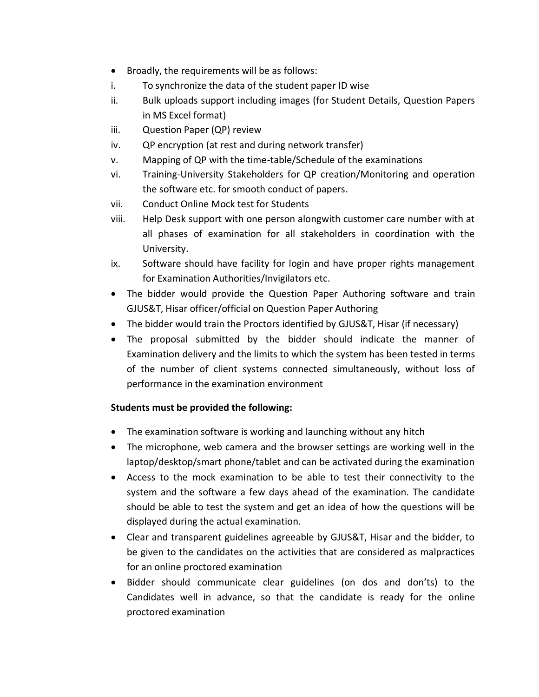- Broadly, the requirements will be as follows:
- i. To synchronize the data of the student paper ID wise
- ii. Bulk uploads support including images (for Student Details, Question Papers in MS Excel format)
- iii. Question Paper (QP) review
- iv. QP encryption (at rest and during network transfer)
- v. Mapping of QP with the time-table/Schedule of the examinations
- vi. Training-University Stakeholders for QP creation/Monitoring and operation the software etc. for smooth conduct of papers.
- vii. Conduct Online Mock test for Students
- viii. Help Desk support with one person alongwith customer care number with at all phases of examination for all stakeholders in coordination with the University.
- ix. Software should have facility for login and have proper rights management for Examination Authorities/Invigilators etc.
- The bidder would provide the Question Paper Authoring software and train GJUS&T, Hisar officer/official on Question Paper Authoring
- The bidder would train the Proctors identified by GJUS&T, Hisar (if necessary)
- The proposal submitted by the bidder should indicate the manner of Examination delivery and the limits to which the system has been tested in terms of the number of client systems connected simultaneously, without loss of performance in the examination environment

### **Students must be provided the following:**

- The examination software is working and launching without any hitch
- The microphone, web camera and the browser settings are working well in the laptop/desktop/smart phone/tablet and can be activated during the examination
- Access to the mock examination to be able to test their connectivity to the system and the software a few days ahead of the examination. The candidate should be able to test the system and get an idea of how the questions will be displayed during the actual examination.
- Clear and transparent guidelines agreeable by GJUS&T, Hisar and the bidder, to be given to the candidates on the activities that are considered as malpractices for an online proctored examination
- Bidder should communicate clear guidelines (on dos and don'ts) to the Candidates well in advance, so that the candidate is ready for the online proctored examination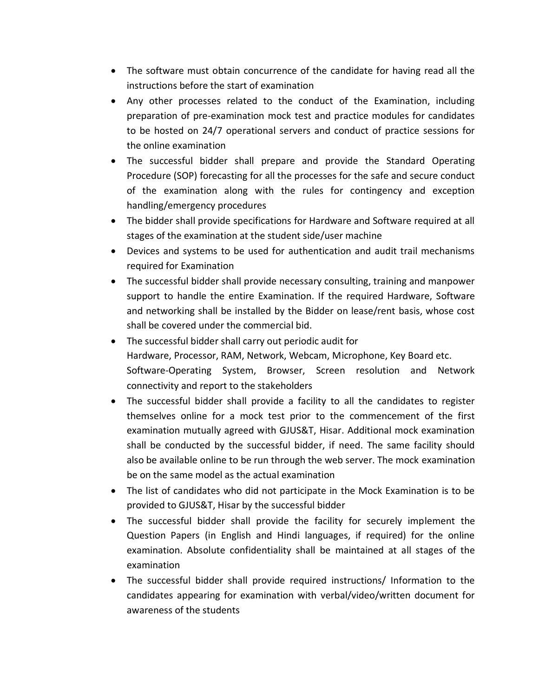- The software must obtain concurrence of the candidate for having read all the instructions before the start of examination
- Any other processes related to the conduct of the Examination, including preparation of pre-examination mock test and practice modules for candidates to be hosted on 24/7 operational servers and conduct of practice sessions for the online examination
- The successful bidder shall prepare and provide the Standard Operating Procedure (SOP) forecasting for all the processes for the safe and secure conduct of the examination along with the rules for contingency and exception handling/emergency procedures
- The bidder shall provide specifications for Hardware and Software required at all stages of the examination at the student side/user machine
- Devices and systems to be used for authentication and audit trail mechanisms required for Examination
- The successful bidder shall provide necessary consulting, training and manpower support to handle the entire Examination. If the required Hardware, Software and networking shall be installed by the Bidder on lease/rent basis, whose cost shall be covered under the commercial bid.
- The successful bidder shall carry out periodic audit for Hardware, Processor, RAM, Network, Webcam, Microphone, Key Board etc. Software-Operating System, Browser, Screen resolution and Network connectivity and report to the stakeholders
- The successful bidder shall provide a facility to all the candidates to register themselves online for a mock test prior to the commencement of the first examination mutually agreed with GJUS&T, Hisar. Additional mock examination shall be conducted by the successful bidder, if need. The same facility should also be available online to be run through the web server. The mock examination be on the same model as the actual examination
- The list of candidates who did not participate in the Mock Examination is to be provided to GJUS&T, Hisar by the successful bidder
- The successful bidder shall provide the facility for securely implement the Question Papers (in English and Hindi languages, if required) for the online examination. Absolute confidentiality shall be maintained at all stages of the examination
- The successful bidder shall provide required instructions/ Information to the candidates appearing for examination with verbal/video/written document for awareness of the students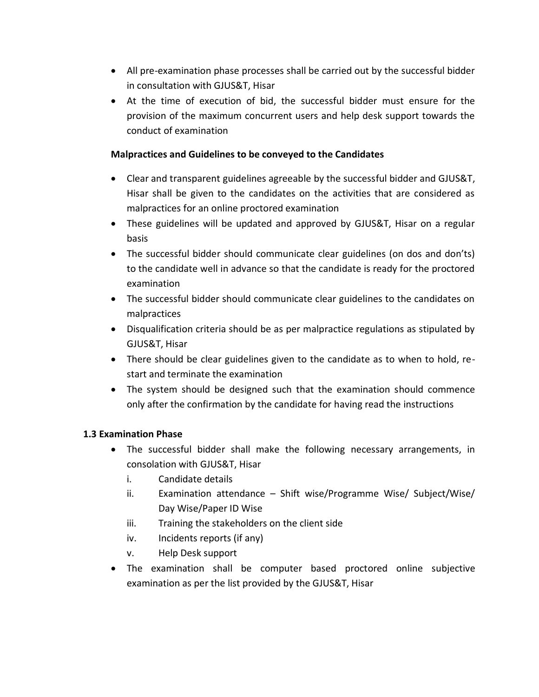- All pre-examination phase processes shall be carried out by the successful bidder in consultation with GJUS&T, Hisar
- At the time of execution of bid, the successful bidder must ensure for the provision of the maximum concurrent users and help desk support towards the conduct of examination

## **Malpractices and Guidelines to be conveyed to the Candidates**

- Clear and transparent guidelines agreeable by the successful bidder and GJUS&T, Hisar shall be given to the candidates on the activities that are considered as malpractices for an online proctored examination
- These guidelines will be updated and approved by GJUS&T, Hisar on a regular basis
- The successful bidder should communicate clear guidelines (on dos and don'ts) to the candidate well in advance so that the candidate is ready for the proctored examination
- The successful bidder should communicate clear guidelines to the candidates on malpractices
- Disqualification criteria should be as per malpractice regulations as stipulated by GJUS&T, Hisar
- There should be clear guidelines given to the candidate as to when to hold, restart and terminate the examination
- The system should be designed such that the examination should commence only after the confirmation by the candidate for having read the instructions

### **1.3 Examination Phase**

- The successful bidder shall make the following necessary arrangements, in consolation with GJUS&T, Hisar
	- i. Candidate details
	- ii. Examination attendance Shift wise/Programme Wise/ Subject/Wise/ Day Wise/Paper ID Wise
	- iii. Training the stakeholders on the client side
	- iv. Incidents reports (if any)
	- v. Help Desk support
- The examination shall be computer based proctored online subjective examination as per the list provided by the GJUS&T, Hisar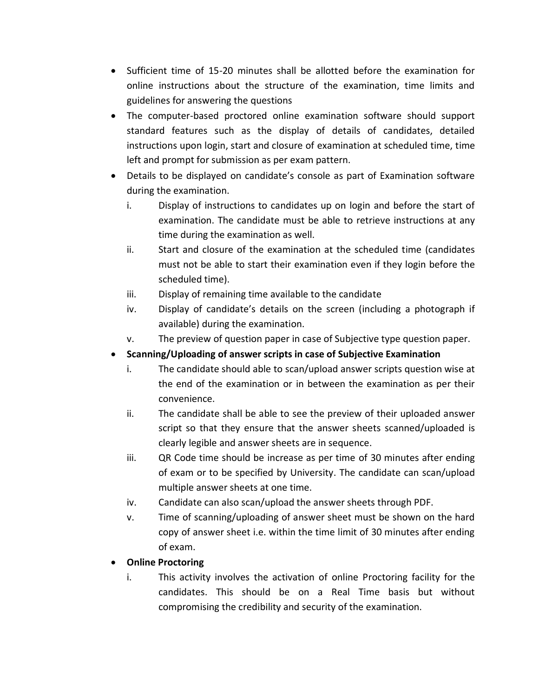- Sufficient time of 15-20 minutes shall be allotted before the examination for online instructions about the structure of the examination, time limits and guidelines for answering the questions
- The computer-based proctored online examination software should support standard features such as the display of details of candidates, detailed instructions upon login, start and closure of examination at scheduled time, time left and prompt for submission as per exam pattern.
- Details to be displayed on candidate's console as part of Examination software during the examination.
	- i. Display of instructions to candidates up on login and before the start of examination. The candidate must be able to retrieve instructions at any time during the examination as well.
	- ii. Start and closure of the examination at the scheduled time (candidates must not be able to start their examination even if they login before the scheduled time).
	- iii. Display of remaining time available to the candidate
	- iv. Display of candidate's details on the screen (including a photograph if available) during the examination.
	- v. The preview of question paper in case of Subjective type question paper.
- **Scanning/Uploading of answer scripts in case of Subjective Examination**
	- i. The candidate should able to scan/upload answer scripts question wise at the end of the examination or in between the examination as per their convenience.
	- ii. The candidate shall be able to see the preview of their uploaded answer script so that they ensure that the answer sheets scanned/uploaded is clearly legible and answer sheets are in sequence.
	- iii. QR Code time should be increase as per time of 30 minutes after ending of exam or to be specified by University. The candidate can scan/upload multiple answer sheets at one time.
	- iv. Candidate can also scan/upload the answer sheets through PDF.
	- v. Time of scanning/uploading of answer sheet must be shown on the hard copy of answer sheet i.e. within the time limit of 30 minutes after ending of exam.

### **Online Proctoring**

i. This activity involves the activation of online Proctoring facility for the candidates. This should be on a Real Time basis but without compromising the credibility and security of the examination.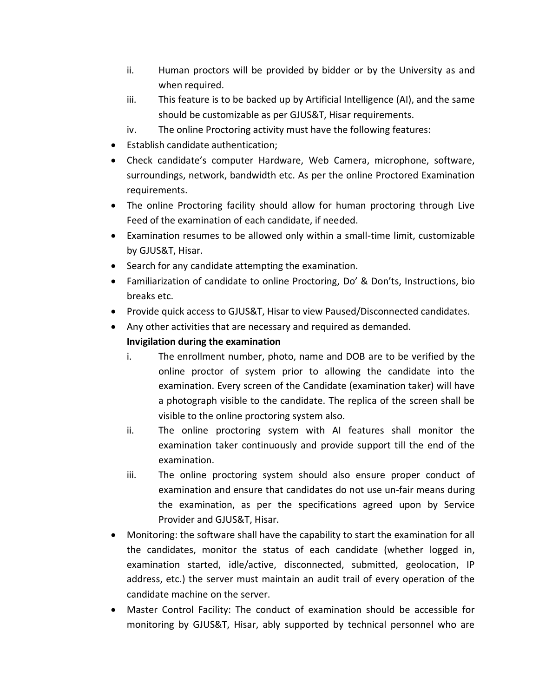- ii. Human proctors will be provided by bidder or by the University as and when required.
- iii. This feature is to be backed up by Artificial Intelligence (AI), and the same should be customizable as per GJUS&T, Hisar requirements.
- iv. The online Proctoring activity must have the following features:
- Establish candidate authentication;
- Check candidate's computer Hardware, Web Camera, microphone, software, surroundings, network, bandwidth etc. As per the online Proctored Examination requirements.
- The online Proctoring facility should allow for human proctoring through Live Feed of the examination of each candidate, if needed.
- Examination resumes to be allowed only within a small-time limit, customizable by GJUS&T, Hisar.
- Search for any candidate attempting the examination.
- Familiarization of candidate to online Proctoring, Do' & Don'ts, Instructions, bio breaks etc.
- Provide quick access to GJUS&T, Hisar to view Paused/Disconnected candidates.
- Any other activities that are necessary and required as demanded.

# **Invigilation during the examination**

- i. The enrollment number, photo, name and DOB are to be verified by the online proctor of system prior to allowing the candidate into the examination. Every screen of the Candidate (examination taker) will have a photograph visible to the candidate. The replica of the screen shall be visible to the online proctoring system also.
- ii. The online proctoring system with AI features shall monitor the examination taker continuously and provide support till the end of the examination.
- iii. The online proctoring system should also ensure proper conduct of examination and ensure that candidates do not use un-fair means during the examination, as per the specifications agreed upon by Service Provider and GJUS&T, Hisar.
- Monitoring: the software shall have the capability to start the examination for all the candidates, monitor the status of each candidate (whether logged in, examination started, idle/active, disconnected, submitted, geolocation, IP address, etc.) the server must maintain an audit trail of every operation of the candidate machine on the server.
- Master Control Facility: The conduct of examination should be accessible for monitoring by GJUS&T, Hisar, ably supported by technical personnel who are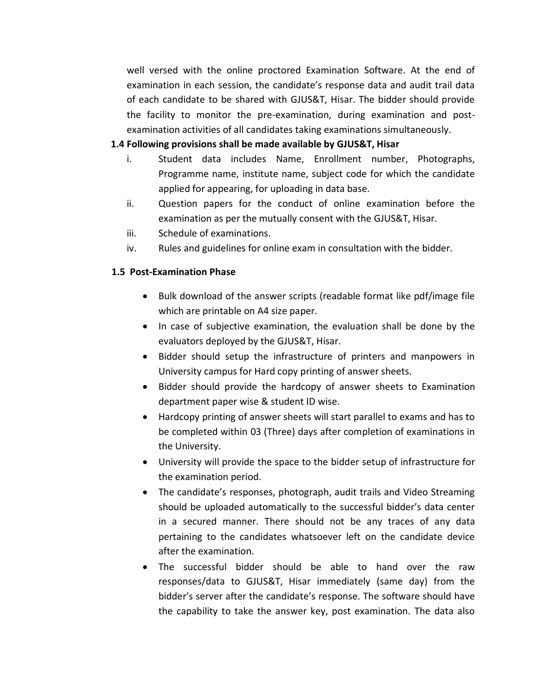well versed with the online proctored Examination Software. At the end of examination in each session, the candidate's response data and audit trail data of each candidate to be shared with GJUS&T, Hisar. The bidder should provide the facility to monitor the pre-examination, during examination and postexamination activities of all candidates taking examinations simultaneously.

#### **1.4 Following provisions shall be made available by GJUS&T, Hisar**

- i. Student data includes Name, Enrollment number, Photographs, Programme name, institute name, subject code for which the candidate applied for appearing, for uploading in data base.
- ii. Question papers for the conduct of online examination before the examination as per the mutually consent with the GJUS&T, Hisar.
- iii. Schedule of examinations.
- iv. Rules and guidelines for online exam in consultation with the bidder.

#### **1.5 Post-Examination Phase**

- Bulk download of the answer scripts (readable format like pdf/image file which are printable on A4 size paper.
- In case of subjective examination, the evaluation shall be done by the evaluators deployed by the GJUS&T, Hisar.
- Bidder should setup the infrastructure of printers and manpowers in University campus for Hard copy printing of answer sheets.
- Bidder should provide the hardcopy of answer sheets to Examination department paper wise & student ID wise.
- Hardcopy printing of answer sheets will start parallel to exams and has to be completed within 03 (Three) days after completion of examinations in the University.
- University will provide the space to the bidder setup of infrastructure for the examination period.
- The candidate's responses, photograph, audit trails and Video Streaming should be uploaded automatically to the successful bidder's data center in a secured manner. There should not be any traces of any data pertaining to the candidates whatsoever left on the candidate device after the examination.
- The successful bidder should be able to hand over the raw responses/data to GJUS&T, Hisar immediately (same day) from the bidder's server after the candidate's response. The software should have the capability to take the answer key, post examination. The data also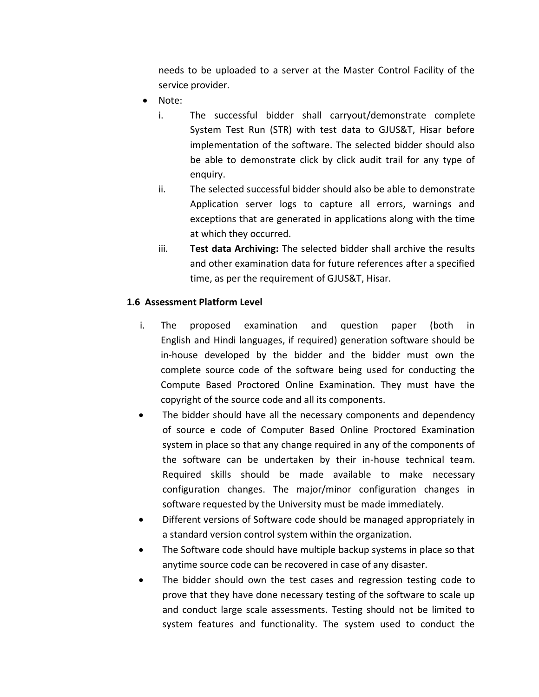needs to be uploaded to a server at the Master Control Facility of the service provider.

- Note:
	- i. The successful bidder shall carryout/demonstrate complete System Test Run (STR) with test data to GJUS&T, Hisar before implementation of the software. The selected bidder should also be able to demonstrate click by click audit trail for any type of enquiry.
	- ii. The selected successful bidder should also be able to demonstrate Application server logs to capture all errors, warnings and exceptions that are generated in applications along with the time at which they occurred.
	- iii. **Test data Archiving:** The selected bidder shall archive the results and other examination data for future references after a specified time, as per the requirement of GJUS&T, Hisar.

# **1.6 Assessment Platform Level**

- i. The proposed examination and question paper (both in English and Hindi languages, if required) generation software should be in-house developed by the bidder and the bidder must own the complete source code of the software being used for conducting the Compute Based Proctored Online Examination. They must have the copyright of the source code and all its components.
- The bidder should have all the necessary components and dependency of source e code of Computer Based Online Proctored Examination system in place so that any change required in any of the components of the software can be undertaken by their in-house technical team. Required skills should be made available to make necessary configuration changes. The major/minor configuration changes in software requested by the University must be made immediately.
- Different versions of Software code should be managed appropriately in a standard version control system within the organization.
- The Software code should have multiple backup systems in place so that anytime source code can be recovered in case of any disaster.
- The bidder should own the test cases and regression testing code to prove that they have done necessary testing of the software to scale up and conduct large scale assessments. Testing should not be limited to system features and functionality. The system used to conduct the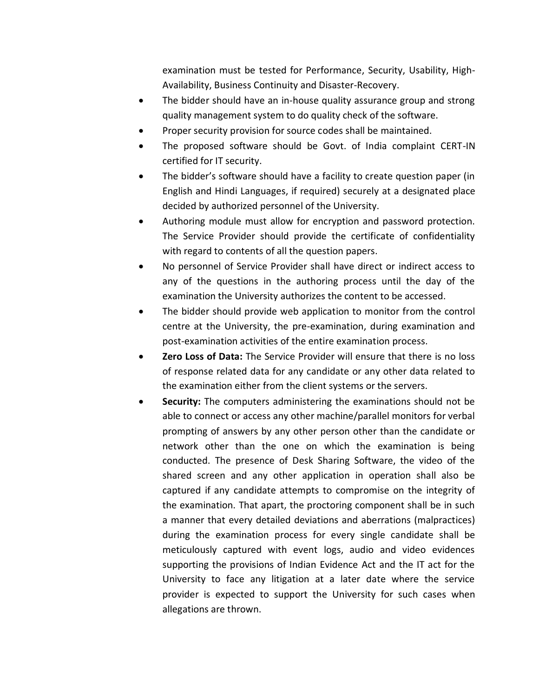examination must be tested for Performance, Security, Usability, High-Availability, Business Continuity and Disaster-Recovery.

- The bidder should have an in-house quality assurance group and strong quality management system to do quality check of the software.
- Proper security provision for source codes shall be maintained.
- The proposed software should be Govt. of India complaint CERT-IN certified for IT security.
- The bidder's software should have a facility to create question paper (in English and Hindi Languages, if required) securely at a designated place decided by authorized personnel of the University.
- Authoring module must allow for encryption and password protection. The Service Provider should provide the certificate of confidentiality with regard to contents of all the question papers.
- No personnel of Service Provider shall have direct or indirect access to any of the questions in the authoring process until the day of the examination the University authorizes the content to be accessed.
- The bidder should provide web application to monitor from the control centre at the University, the pre-examination, during examination and post-examination activities of the entire examination process.
- **Zero Loss of Data:** The Service Provider will ensure that there is no loss of response related data for any candidate or any other data related to the examination either from the client systems or the servers.
- **Security:** The computers administering the examinations should not be able to connect or access any other machine/parallel monitors for verbal prompting of answers by any other person other than the candidate or network other than the one on which the examination is being conducted. The presence of Desk Sharing Software, the video of the shared screen and any other application in operation shall also be captured if any candidate attempts to compromise on the integrity of the examination. That apart, the proctoring component shall be in such a manner that every detailed deviations and aberrations (malpractices) during the examination process for every single candidate shall be meticulously captured with event logs, audio and video evidences supporting the provisions of Indian Evidence Act and the IT act for the University to face any litigation at a later date where the service provider is expected to support the University for such cases when allegations are thrown.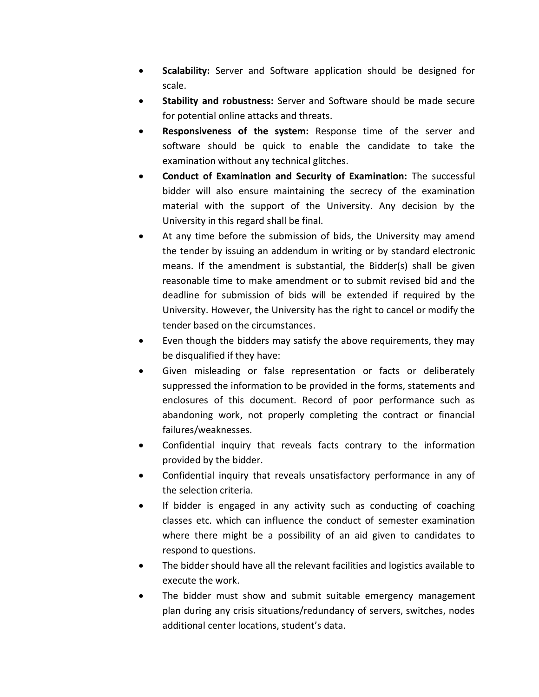- **Scalability:** Server and Software application should be designed for scale.
- **Stability and robustness:** Server and Software should be made secure for potential online attacks and threats.
- **Responsiveness of the system:** Response time of the server and software should be quick to enable the candidate to take the examination without any technical glitches.
- **Conduct of Examination and Security of Examination:** The successful bidder will also ensure maintaining the secrecy of the examination material with the support of the University. Any decision by the University in this regard shall be final.
- At any time before the submission of bids, the University may amend the tender by issuing an addendum in writing or by standard electronic means. If the amendment is substantial, the Bidder(s) shall be given reasonable time to make amendment or to submit revised bid and the deadline for submission of bids will be extended if required by the University. However, the University has the right to cancel or modify the tender based on the circumstances.
- Even though the bidders may satisfy the above requirements, they may be disqualified if they have:
- Given misleading or false representation or facts or deliberately suppressed the information to be provided in the forms, statements and enclosures of this document. Record of poor performance such as abandoning work, not properly completing the contract or financial failures/weaknesses.
- Confidential inquiry that reveals facts contrary to the information provided by the bidder.
- Confidential inquiry that reveals unsatisfactory performance in any of the selection criteria.
- If bidder is engaged in any activity such as conducting of coaching classes etc. which can influence the conduct of semester examination where there might be a possibility of an aid given to candidates to respond to questions.
- The bidder should have all the relevant facilities and logistics available to execute the work.
- The bidder must show and submit suitable emergency management plan during any crisis situations/redundancy of servers, switches, nodes additional center locations, student's data.